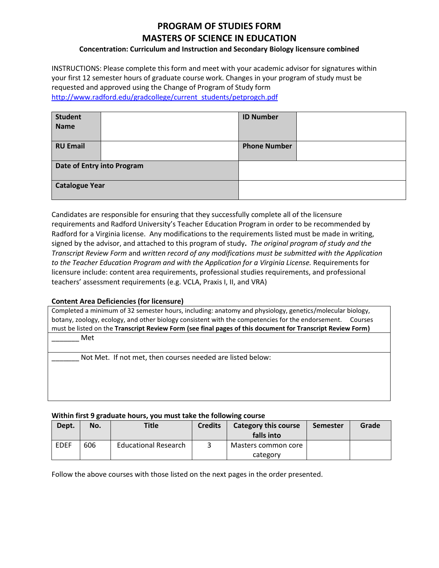# **PROGRAM OF STUDIES FORM MASTERS OF SCIENCE IN EDUCATION**

### **Concentration: Curriculum and Instruction and Secondary Biology licensure combined**

INSTRUCTIONS: Please complete this form and meet with your academic advisor for signatures within your first 12 semester hours of graduate course work. Changes in your program of study must be requested and approved using the Change of Program of Study form [http://www.radford.edu/gradcollege/current\\_students/petprogch.pdf](http://www.radford.edu/gradcollege/current_students/petprogch.pdf)

| <b>Student</b>             | <b>ID Number</b>    |  |
|----------------------------|---------------------|--|
| <b>Name</b>                |                     |  |
|                            |                     |  |
| <b>RU Email</b>            | <b>Phone Number</b> |  |
|                            |                     |  |
| Date of Entry into Program |                     |  |
| <b>Catalogue Year</b>      |                     |  |
|                            |                     |  |

Candidates are responsible for ensuring that they successfully complete all of the licensure requirements and Radford University's Teacher Education Program in order to be recommended by Radford for a Virginia license. Any modifications to the requirements listed must be made in writing, signed by the advisor, and attached to this program of study**.** *The original program of study and the Transcript Review Form* and *written record of any modifications must be submitted with the Application to the Teacher Education Program and with the Application for a Virginia License.* Requirements for licensure include: content area requirements, professional studies requirements, and professional teachers' assessment requirements (e.g. VCLA, Praxis I, II, and VRA)

#### **Content Area Deficiencies (for licensure)**

| Completed a minimum of 32 semester hours, including: anatomy and physiology, genetics/molecular biology,     |  |  |  |  |  |
|--------------------------------------------------------------------------------------------------------------|--|--|--|--|--|
| botany, zoology, ecology, and other biology consistent with the competencies for the endorsement.<br>Courses |  |  |  |  |  |
| must be listed on the Transcript Review Form (see final pages of this document for Transcript Review Form)   |  |  |  |  |  |
| Met                                                                                                          |  |  |  |  |  |

Not Met. If not met, then courses needed are listed below:

#### **Within first 9 graduate hours, you must take the following course**

| Dept. | No. | <b>Title</b>                | <b>Credits</b> | <b>Category this course</b><br>falls into | <b>Semester</b> | Grade |
|-------|-----|-----------------------------|----------------|-------------------------------------------|-----------------|-------|
| EDEF  | 606 | <b>Educational Research</b> |                | Masters common core<br>category           |                 |       |

Follow the above courses with those listed on the next pages in the order presented.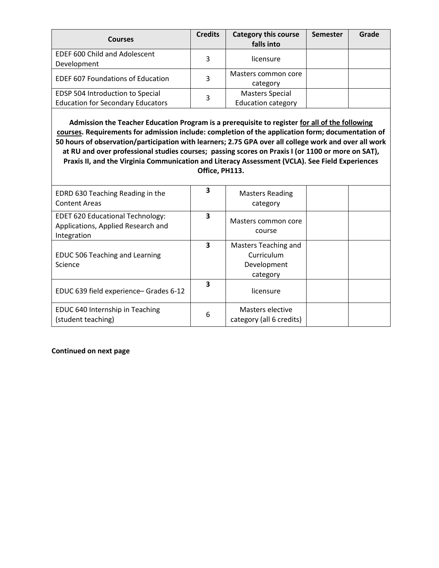| <b>Courses</b>                                                               | <b>Credits</b> | <b>Category this course</b><br>falls into           | <b>Semester</b> | Grade |
|------------------------------------------------------------------------------|----------------|-----------------------------------------------------|-----------------|-------|
| <b>EDEF 600 Child and Adolescent</b><br>Development                          | 3              | licensure                                           |                 |       |
| <b>EDEF 607 Foundations of Education</b>                                     | 3              | Masters common core<br>category                     |                 |       |
| EDSP 504 Introduction to Special<br><b>Education for Secondary Educators</b> | 3              | <b>Masters Special</b><br><b>Education category</b> |                 |       |

**Admission the Teacher Education Program is a prerequisite to register for all of the following courses. Requirements for admission include: completion of the application form; documentation of 50 hours of observation/participation with learners; 2.75 GPA over all college work and over all work at RU and over professional studies courses; passing scores on Praxis I (or 1100 or more on SAT), Praxis II, and the Virginia Communication and Literacy Assessment (VCLA). See Field Experiences Office, PH113.**

| EDRD 630 Teaching Reading in the<br><b>Content Areas</b>                                     | 3 | <b>Masters Reading</b><br>category                            |  |
|----------------------------------------------------------------------------------------------|---|---------------------------------------------------------------|--|
| <b>EDET 620 Educational Technology:</b><br>Applications, Applied Research and<br>Integration | 3 | Masters common core<br>course                                 |  |
| <b>EDUC 506 Teaching and Learning</b><br>Science                                             | 3 | Masters Teaching and<br>Curriculum<br>Development<br>category |  |
| EDUC 639 field experience- Grades 6-12                                                       | 3 | licensure                                                     |  |
| EDUC 640 Internship in Teaching<br>(student teaching)                                        | 6 | Masters elective<br>category (all 6 credits)                  |  |

#### **Continued on next page**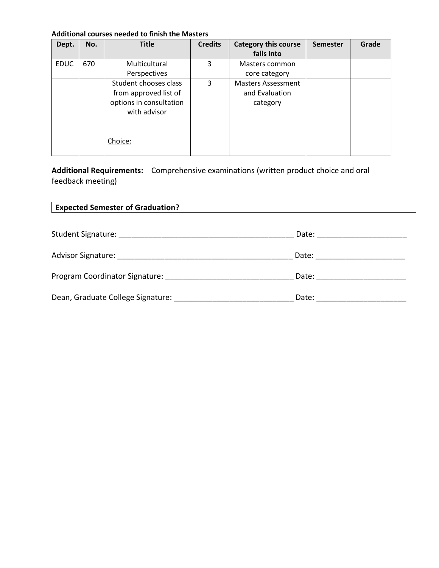## **Additional courses needed to finish the Masters**

| Dept.       | No. | <b>Title</b>            | <b>Credits</b> | <b>Category this course</b> | Semester | Grade |
|-------------|-----|-------------------------|----------------|-----------------------------|----------|-------|
|             |     |                         |                | falls into                  |          |       |
| <b>EDUC</b> | 670 | Multicultural           | 3              | Masters common              |          |       |
|             |     | Perspectives            |                | core category               |          |       |
|             |     | Student chooses class   | 3              | Masters Assessment          |          |       |
|             |     | from approved list of   |                | and Evaluation              |          |       |
|             |     | options in consultation |                | category                    |          |       |
|             |     | with advisor            |                |                             |          |       |
|             |     |                         |                |                             |          |       |
|             |     |                         |                |                             |          |       |
|             |     | Choice:                 |                |                             |          |       |
|             |     |                         |                |                             |          |       |

**Additional Requirements:** Comprehensive examinations (written product choice and oral feedback meeting)

| <b>Expected Semester of Graduation?</b>                                                                                                                                                                                        |                               |  |
|--------------------------------------------------------------------------------------------------------------------------------------------------------------------------------------------------------------------------------|-------------------------------|--|
|                                                                                                                                                                                                                                | Date: _____________________   |  |
|                                                                                                                                                                                                                                | Date: ______________________  |  |
| Program Coordinator Signature: Note that the contract of the contract of the contract of the contract of the contract of the contract of the contract of the contract of the contract of the contract of the contract of the c | Date: _______________________ |  |
| Dean, Graduate College Signature: Nearly School and School and School and School and School and School and School and School and School and School and School and School and School and School and School and School and Schoo | Date:                         |  |